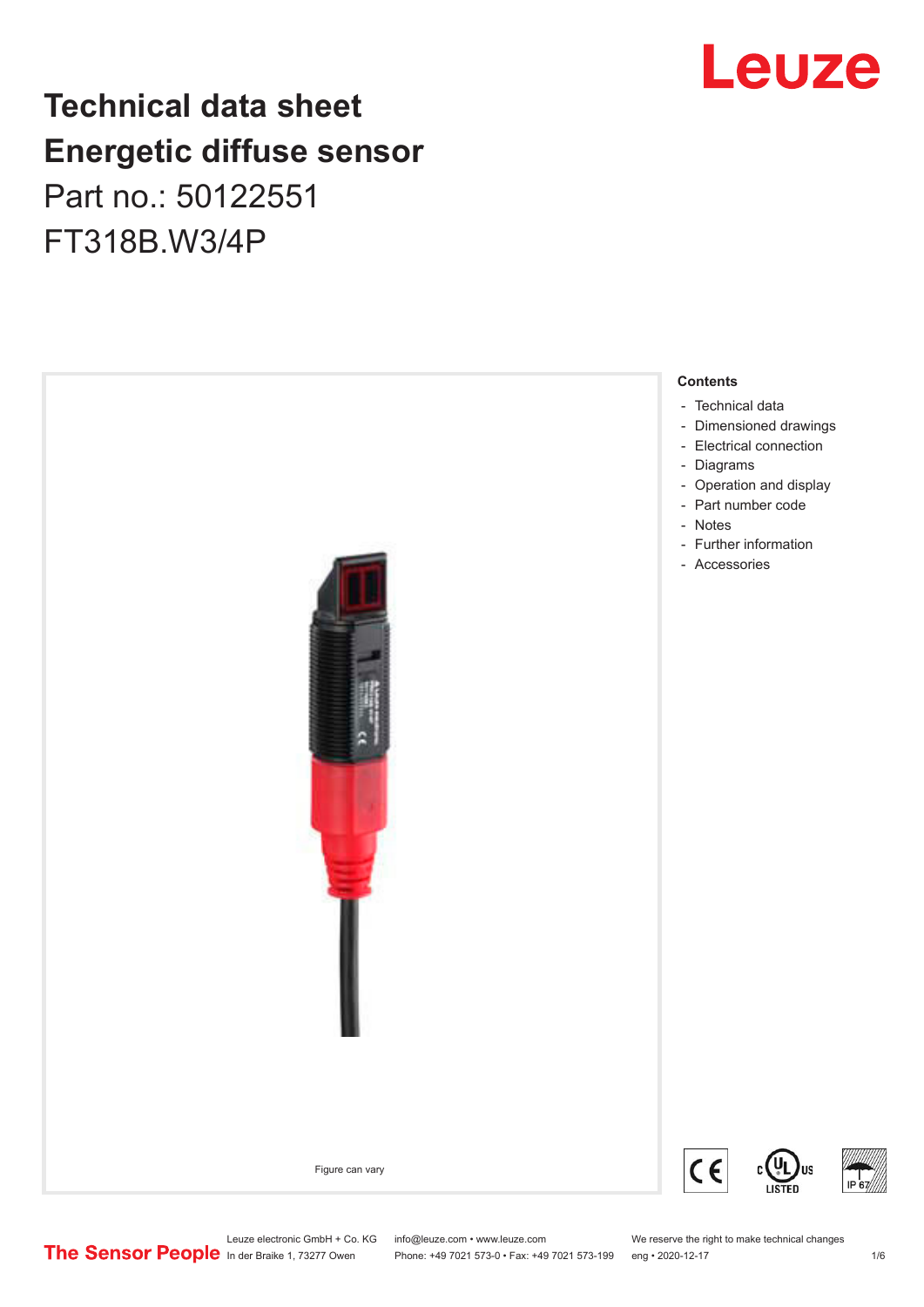# **Technical data sheet Energetic diffuse sensor**

Part no.: 50122551 FT318B.W3/4P



# Leuze

Leuze electronic GmbH + Co. KG info@leuze.com • www.leuze.com We reserve the right to make technical changes<br>
The Sensor People in der Braike 1, 73277 Owen Phone: +49 7021 573-0 • Fax: +49 7021 573-199 eng • 2020-12-17

Phone: +49 7021 573-0 • Fax: +49 7021 573-199 eng • 2020-12-17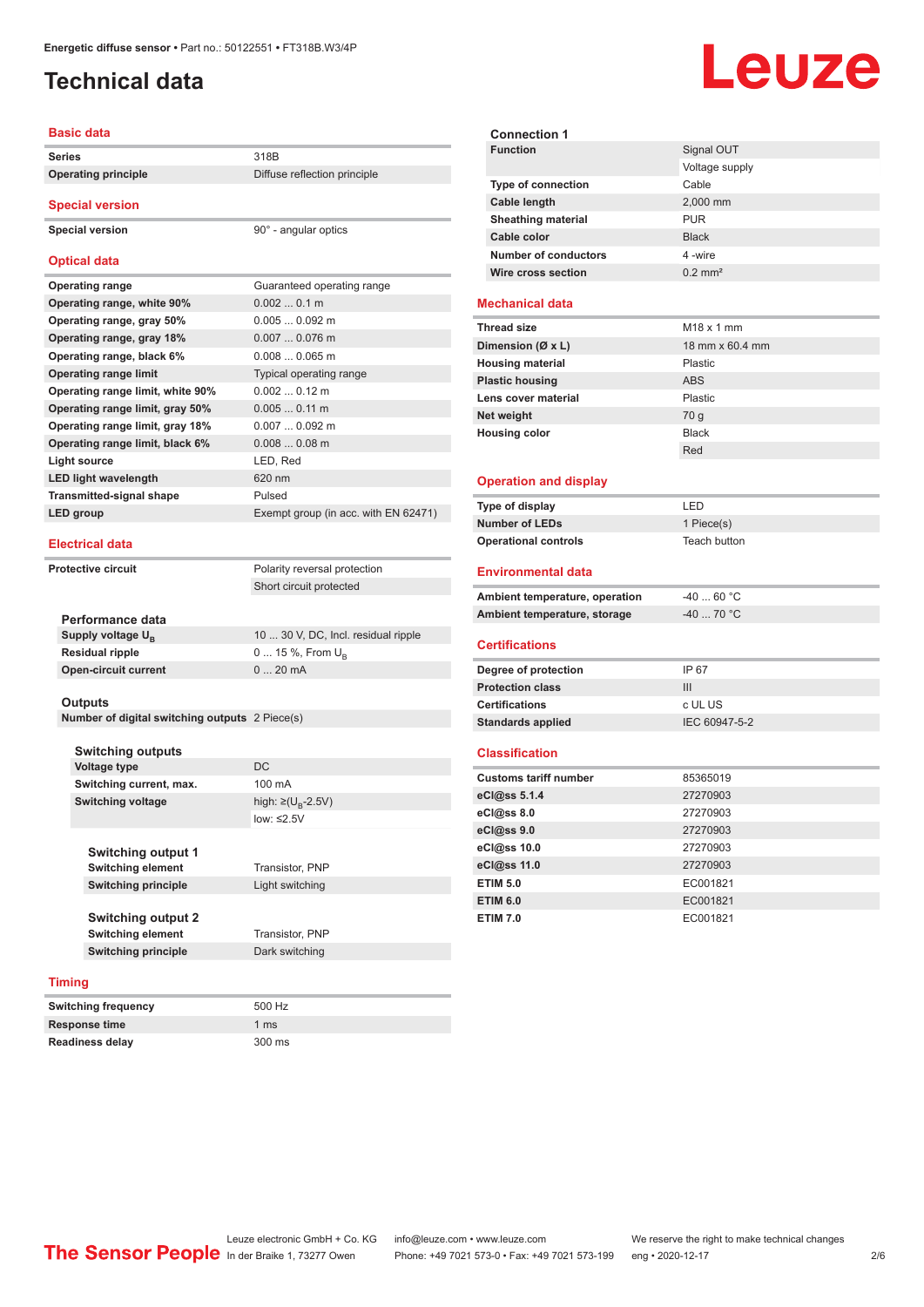# <span id="page-1-0"></span>**Technical data**

#### **Basic data**

| <b>Series</b>                    | 318B                                 |
|----------------------------------|--------------------------------------|
| <b>Operating principle</b>       | Diffuse reflection principle         |
|                                  |                                      |
| <b>Special version</b>           |                                      |
| <b>Special version</b>           | 90° - angular optics                 |
|                                  |                                      |
| <b>Optical data</b>              |                                      |
| <b>Operating range</b>           | Guaranteed operating range           |
| Operating range, white 90%       | 0.0020.1 m                           |
| Operating range, gray 50%        | $0.0050.092$ m                       |
| Operating range, gray 18%        | $0.0070.076$ m                       |
| Operating range, black 6%        | $0.0080.065$ m                       |
| <b>Operating range limit</b>     | Typical operating range              |
| Operating range limit, white 90% | $0.0020.12$ m                        |
| Operating range limit, gray 50%  | $0.0050.11$ m                        |
| Operating range limit, gray 18%  | $0.0070.092$ m                       |
| Operating range limit, black 6%  | $0.0080.08$ m                        |
| Light source                     | LED, Red                             |
| <b>LED light wavelength</b>      | 620 nm                               |
| <b>Transmitted-signal shape</b>  | Pulsed                               |
| <b>LED</b> group                 | Exempt group (in acc. with EN 62471) |
|                                  |                                      |
| <b>Electrical data</b>           |                                      |
| <b>Protective circuit</b>        | Polarity reversal protection         |
|                                  | Short circuit protected              |

| Performance data              |                                     |
|-------------------------------|-------------------------------------|
| Supply voltage U <sub>n</sub> | 10  30 V, DC, Incl. residual ripple |
| Residual ripple               | 0  15 %, From $U_{\rm B}$           |
| Open-circuit current          | $020$ mA                            |
|                               |                                     |

**Outputs**

**Number of digital switching outputs** 2 Piece(s)

|        | <b>Switching outputs</b>   |                                     |
|--------|----------------------------|-------------------------------------|
|        | <b>Voltage type</b>        | DC                                  |
|        | Switching current, max.    | $100 \text{ mA}$                    |
|        | <b>Switching voltage</b>   | high: $\geq$ (U <sub>B</sub> -2.5V) |
|        |                            | low: $\leq 2.5V$                    |
|        |                            |                                     |
|        | <b>Switching output 1</b>  |                                     |
|        | <b>Switching element</b>   | Transistor, PNP                     |
|        | <b>Switching principle</b> | Light switching                     |
|        |                            |                                     |
|        | <b>Switching output 2</b>  |                                     |
|        | <b>Switching element</b>   | Transistor, PNP                     |
|        | <b>Switching principle</b> | Dark switching                      |
|        |                            |                                     |
| Timing |                            |                                     |

| <b>Switching frequency</b> | 500 Hz        |
|----------------------------|---------------|
| Response time              | 1 $\text{ms}$ |
| <b>Readiness delay</b>     | 300 ms        |

| <b>Connection 1</b>            |                        |
|--------------------------------|------------------------|
| <b>Function</b>                | Signal OUT             |
|                                | Voltage supply         |
| <b>Type of connection</b>      | Cable                  |
| <b>Cable length</b>            | 2,000 mm               |
| <b>Sheathing material</b>      | <b>PUR</b>             |
| Cable color                    | <b>Black</b>           |
| <b>Number of conductors</b>    | 4-wire                 |
| Wire cross section             | $0.2$ mm <sup>2</sup>  |
|                                |                        |
| <b>Mechanical data</b>         |                        |
| <b>Thread size</b>             | M <sub>18</sub> x 1 mm |
| Dimension (Ø x L)              | 18 mm x 60.4 mm        |
| <b>Housing material</b>        | Plastic                |
| <b>Plastic housing</b>         | <b>ABS</b>             |
| Lens cover material            | Plastic                |
| Net weight                     | 70 g                   |
| <b>Housing color</b>           | <b>Black</b>           |
|                                | Red                    |
|                                |                        |
| <b>Operation and display</b>   |                        |
| Type of display                | LED                    |
| <b>Number of LEDs</b>          | 1 Piece(s)             |
| <b>Operational controls</b>    | Teach button           |
|                                |                        |
| <b>Environmental data</b>      |                        |
|                                | $-4060 °C$             |
| Ambient temperature, operation |                        |
| Ambient temperature, storage   | $-4070$ °C             |
| <b>Certifications</b>          |                        |
| Degree of protection           | IP 67                  |
| <b>Protection class</b>        | III                    |
| <b>Certifications</b>          | c UL US                |
| <b>Standards applied</b>       | IEC 60947-5-2          |
|                                |                        |
| <b>Classification</b>          |                        |
| <b>Customs tariff number</b>   | 85365019               |
| eCl@ss 5.1.4                   | 27270903               |
| eCl@ss 8.0                     | 27270903               |
| eCl@ss 9.0                     | 27270903               |
| eCl@ss 10.0                    | 27270903               |
| eCl@ss 11.0                    | 27270903               |
| <b>ETIM 5.0</b>                | EC001821               |
| <b>ETIM 6.0</b>                | EC001821               |
| <b>ETIM 7.0</b>                | EC001821               |
|                                |                        |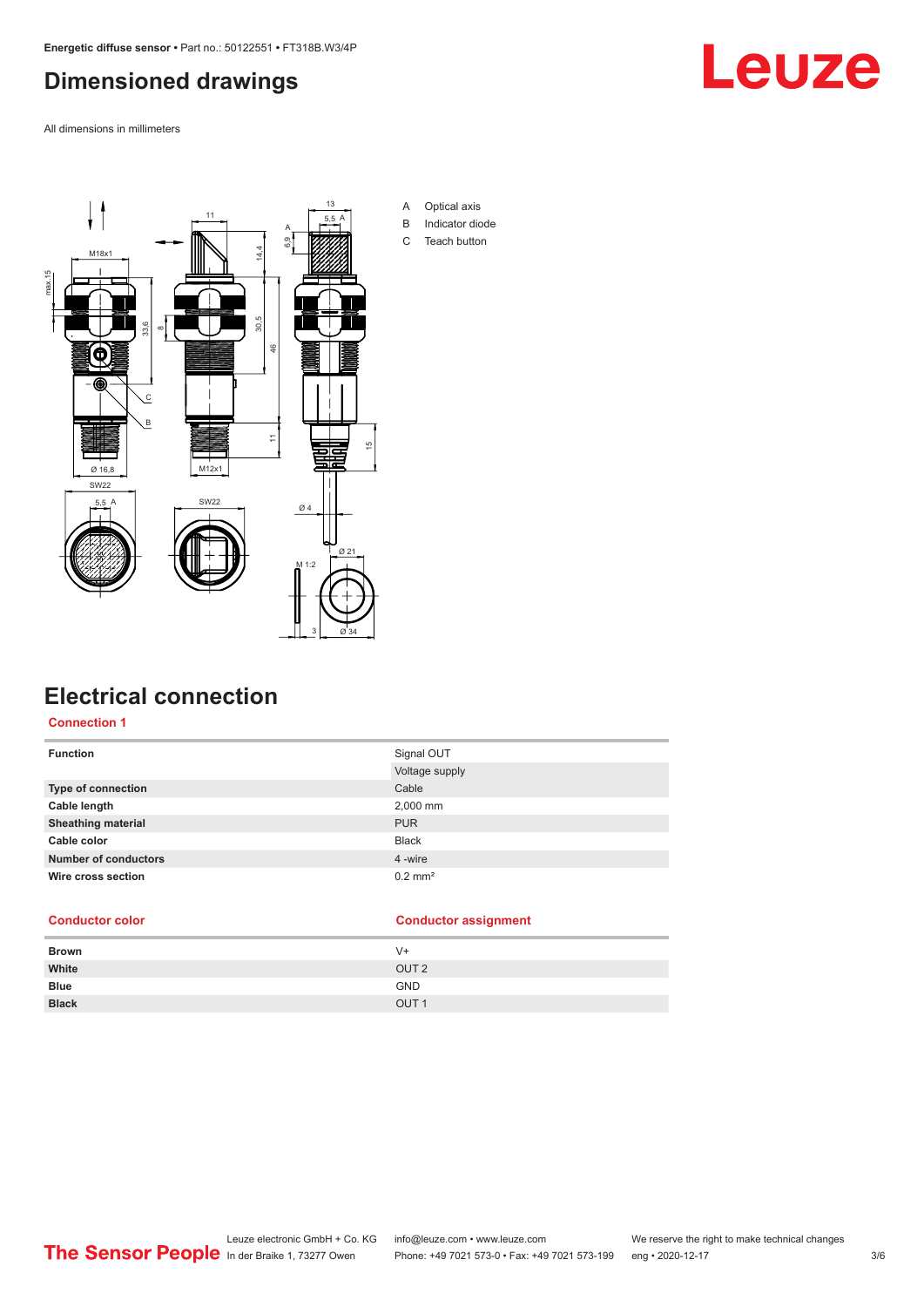# <span id="page-2-0"></span>**Dimensioned drawings**

All dimensions in millimeters





# **Electrical connection**

**Connection 1**

| <b>Function</b>             | Signal OUT            |
|-----------------------------|-----------------------|
|                             | Voltage supply        |
| <b>Type of connection</b>   | Cable                 |
| Cable length                | 2.000 mm              |
| <b>Sheathing material</b>   | <b>PUR</b>            |
| Cable color                 | <b>Black</b>          |
| <b>Number of conductors</b> | 4 -wire               |
| Wire cross section          | $0.2$ mm <sup>2</sup> |

#### **Conductor color Conductor assignment**

| <b>Brown</b> | $V +$            |
|--------------|------------------|
| White        | OUT <sub>2</sub> |
| <b>Blue</b>  | <b>GND</b>       |
| <b>Black</b> | OUT <sub>1</sub> |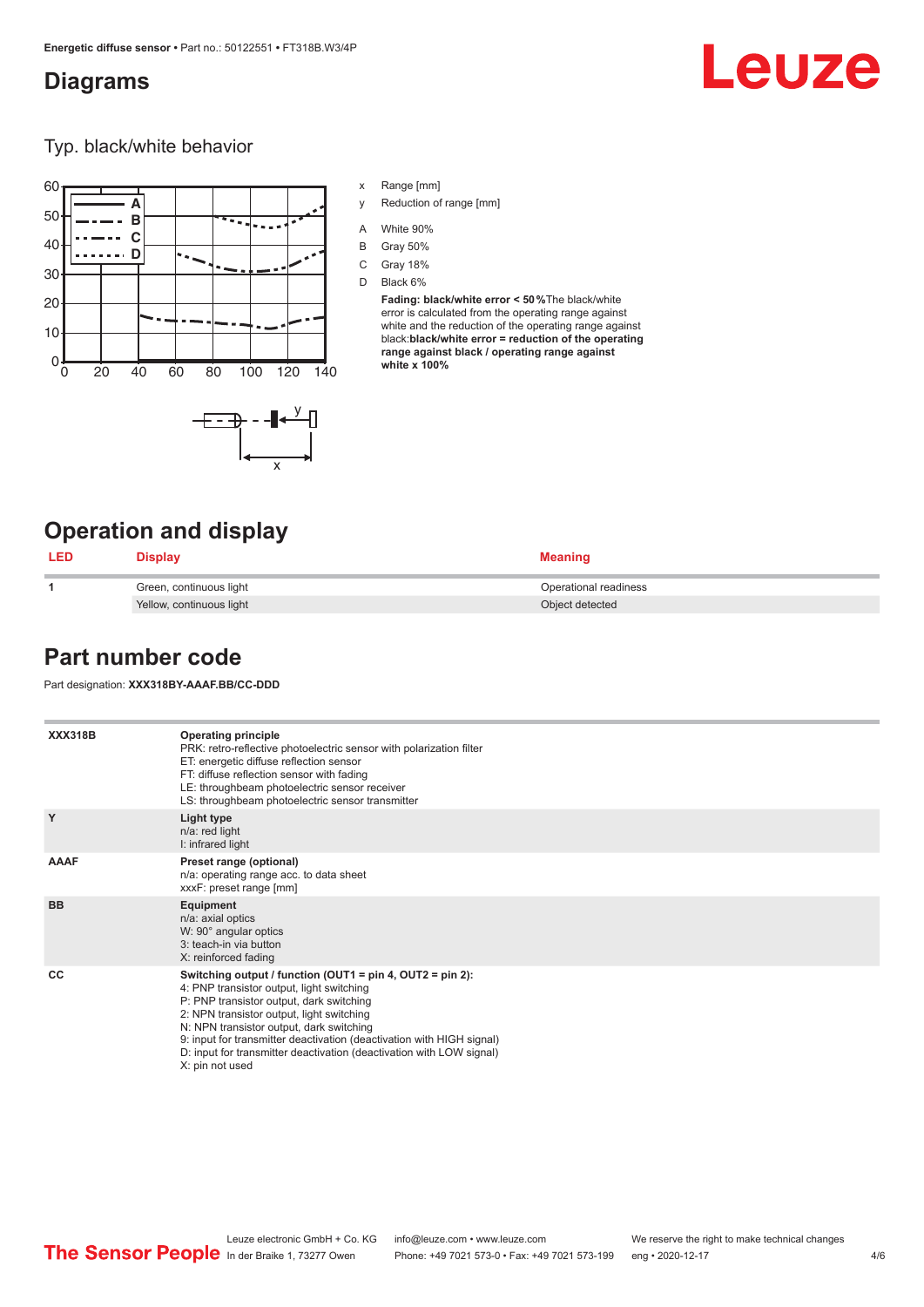# <span id="page-3-0"></span>**Diagrams**

# Leuze

Typ. black/white behavior



- x Range [mm]
- y Reduction of range [mm]
- A White 90%
- B Gray 50%
- C Gray 18%
- D Black 6%

**Fading: black/white error < 50 %**The black/white error is calculated from the operating range against white and the reduction of the operating range against black:**black/white error = reduction of the operating range against black / operating range against white x 100%**

# **Operation and display**

| <b>LED</b> | <b>Display</b>           | <b>Meaning</b>        |
|------------|--------------------------|-----------------------|
|            | Green, continuous light  | Operational readiness |
|            | Yellow, continuous light | Object detected       |

### **Part number code**

Part designation: **XXX318BY-AAAF.BB/CC-DDD**

**XXX318B Operating principle** PRK: retro-reflective photoelectric sensor with polarization filter ET: energetic diffuse reflection sensor FT: diffuse reflection sensor with fading LE: throughbeam photoelectric sensor receiver LS: throughbeam photoelectric sensor transmitter **Y Light type** n/a: red light I: infrared light **AAAF Preset range (optional)** n/a: operating range acc. to data sheet xxxF: preset range [mm] **BB Equipment** n/a: axial optics W: 90° angular optics 3: teach-in via button X: reinforced fading **CC Switching output / function (OUT1 = pin 4, OUT2 = pin 2):** 4: PNP transistor output, light switching P: PNP transistor output, dark switching 2: NPN transistor output, light switching N: NPN transistor output, dark switching 9: input for transmitter deactivation (deactivation with HIGH signal) D: input for transmitter deactivation (deactivation with LOW signal) X: pin not used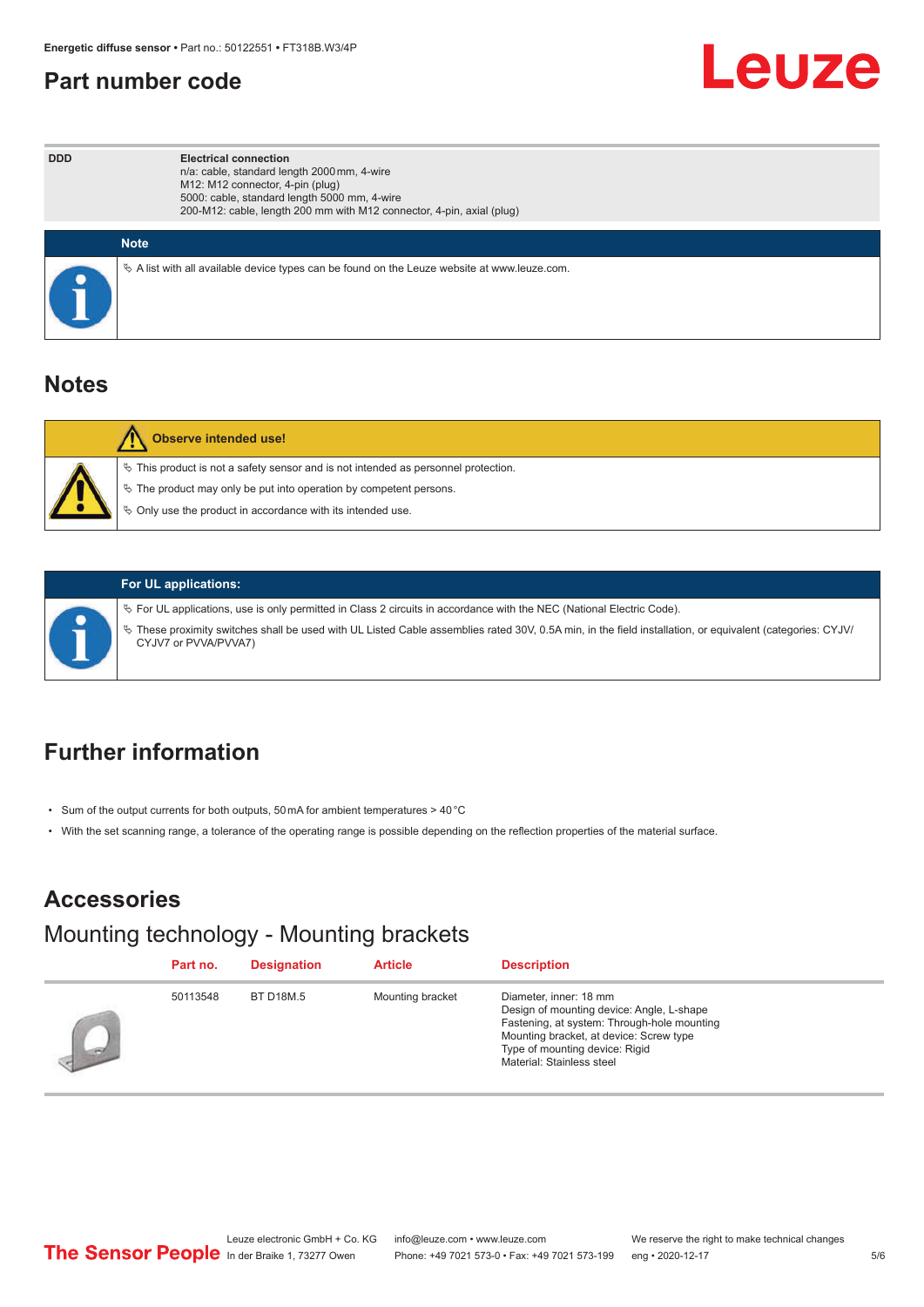# <span id="page-4-0"></span>**Part number code**



| <b>DDD</b> | <b>Electrical connection</b><br>n/a: cable, standard length 2000 mm, 4-wire<br>M12: M12 connector, 4-pin (plug)<br>5000: cable, standard length 5000 mm, 4-wire<br>200-M12: cable, length 200 mm with M12 connector, 4-pin, axial (plug) |
|------------|------------------------------------------------------------------------------------------------------------------------------------------------------------------------------------------------------------------------------------------|
|            | <b>Note</b>                                                                                                                                                                                                                              |
|            | $\&$ A list with all available device types can be found on the Leuze website at www.leuze.com.                                                                                                                                          |

### **Notes**

| <b>Observe intended use!</b>                                                                                                                                                                                                     |
|----------------------------------------------------------------------------------------------------------------------------------------------------------------------------------------------------------------------------------|
| $\%$ This product is not a safety sensor and is not intended as personnel protection.<br>$\&$ The product may only be put into operation by competent persons.<br>$\%$ Only use the product in accordance with its intended use. |

### **For UL applications:**

ª For UL applications, use is only permitted in Class 2 circuits in accordance with the NEC (National Electric Code).

ª These proximity switches shall be used with UL Listed Cable assemblies rated 30V, 0.5A min, in the field installation, or equivalent (categories: CYJV/ CYJV7 or PVVA/PVVA7)

# **Further information**

- Sum of the output currents for both outputs, 50 mA for ambient temperatures > 40 °C
- With the set scanning range, a tolerance of the operating range is possible depending on the reflection properties of the material surface.

# **Accessories**

# Mounting technology - Mounting brackets

|      | Part no. | <b>Designation</b> | <b>Article</b>   | <b>Description</b>                                                                                                                                                                                                           |
|------|----------|--------------------|------------------|------------------------------------------------------------------------------------------------------------------------------------------------------------------------------------------------------------------------------|
| ind. | 50113548 | <b>BT D18M.5</b>   | Mounting bracket | Diameter, inner: 18 mm<br>Design of mounting device: Angle, L-shape<br>Fastening, at system: Through-hole mounting<br>Mounting bracket, at device: Screw type<br>Type of mounting device: Rigid<br>Material: Stainless steel |